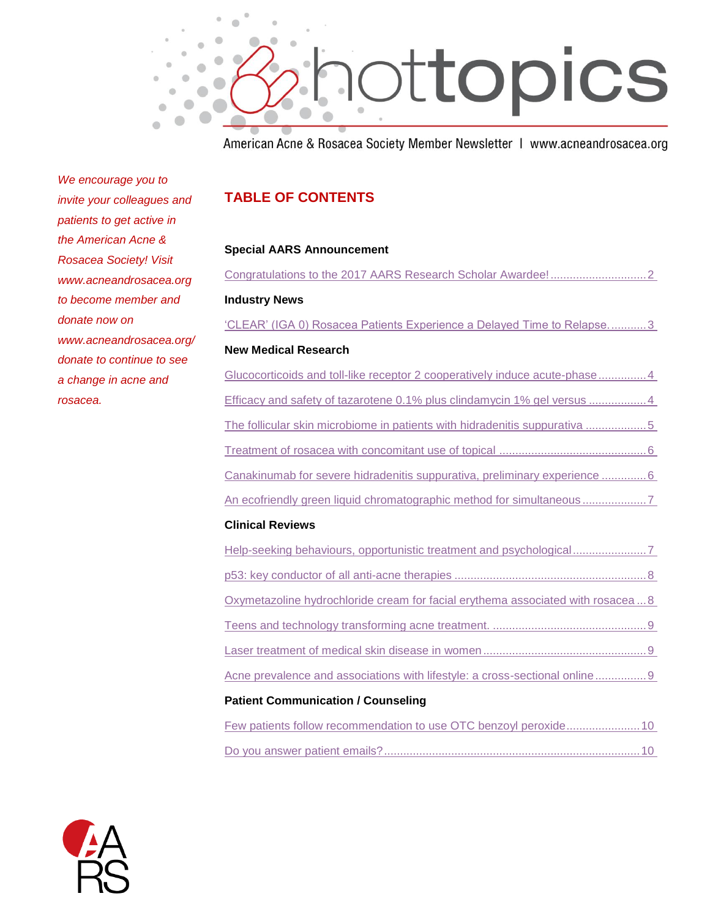

American Acne & Rosacea Society Member Newsletter | www.acneandrosacea.org

*We encourage you to invite your colleagues and patients to get active in the American Acne & Rosacea Society! Visit www.acneandrosacea.org to become member and donate now on www.acneandrosacea.org/ donate to continue to see a change in acne and rosacea.*

## **TABLE OF CONTENTS**

### **Special AARS Announcement**

| <b>Industry News</b>                                                             |
|----------------------------------------------------------------------------------|
| "CLEAR" (IGA 0) Rosacea Patients Experience a Delayed Time to Relapse3           |
| <b>New Medical Research</b>                                                      |
| Glucocorticoids and toll-like receptor 2 cooperatively induce acute-phase4       |
| Efficacy and safety of tazarotene 0.1% plus clindamycin 1% gel versus 4          |
| The follicular skin microbiome in patients with hidradenitis suppurativa 5       |
|                                                                                  |
| Canakinumab for severe hidradenitis suppurativa, preliminary experience 6        |
|                                                                                  |
| <b>Clinical Reviews</b>                                                          |
| Help-seeking behaviours, opportunistic treatment and psychological               |
|                                                                                  |
| Oxymetazoline hydrochloride cream for facial erythema associated with rosacea  8 |
|                                                                                  |
|                                                                                  |
| Acne prevalence and associations with lifestyle: a cross-sectional online 9      |

### **Patient Communication / Counseling**

|  |  |  |  |  | Few patients follow recommendation to use OTC benzoyl peroxide 10 |
|--|--|--|--|--|-------------------------------------------------------------------|
|  |  |  |  |  |                                                                   |
|  |  |  |  |  |                                                                   |

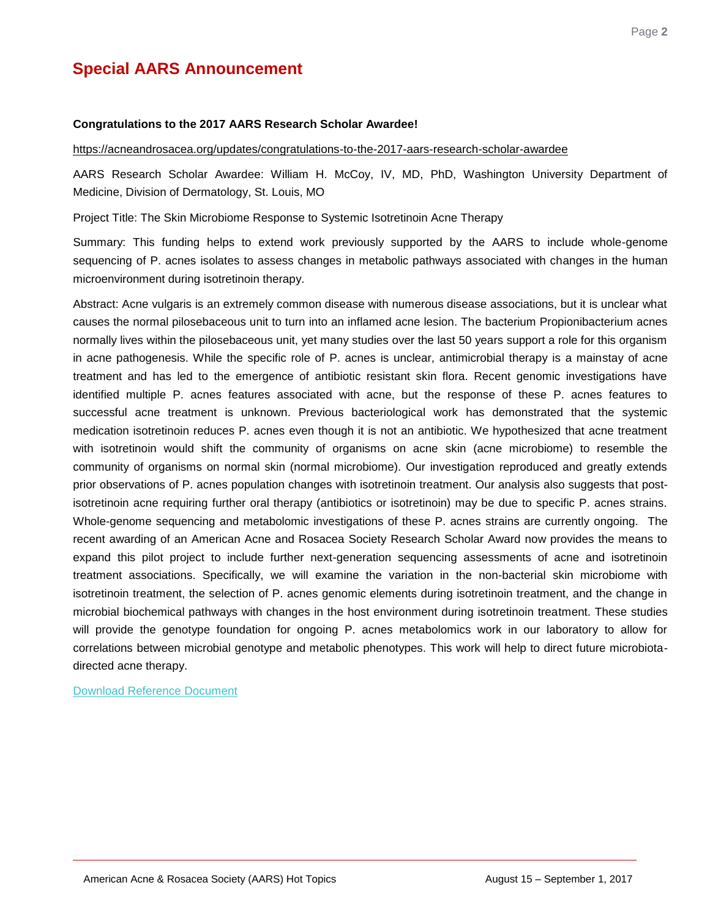# **Special AARS Announcement**

#### <span id="page-1-0"></span>**Congratulations to the 2017 AARS Research Scholar Awardee!**

<https://acneandrosacea.org/updates/congratulations-to-the-2017-aars-research-scholar-awardee>

AARS Research Scholar Awardee: William H. McCoy, IV, MD, PhD, Washington University Department of Medicine, Division of Dermatology, St. Louis, MO

Project Title: The Skin Microbiome Response to Systemic Isotretinoin Acne Therapy

Summary: This funding helps to extend work previously supported by the AARS to include whole-genome sequencing of P. acnes isolates to assess changes in metabolic pathways associated with changes in the human microenvironment during isotretinoin therapy.

Abstract: Acne vulgaris is an extremely common disease with numerous disease associations, but it is unclear what causes the normal pilosebaceous unit to turn into an inflamed acne lesion. The bacterium Propionibacterium acnes normally lives within the pilosebaceous unit, yet many studies over the last 50 years support a role for this organism in acne pathogenesis. While the specific role of P. acnes is unclear, antimicrobial therapy is a mainstay of acne treatment and has led to the emergence of antibiotic resistant skin flora. Recent genomic investigations have identified multiple P. acnes features associated with acne, but the response of these P. acnes features to successful acne treatment is unknown. Previous bacteriological work has demonstrated that the systemic medication isotretinoin reduces P. acnes even though it is not an antibiotic. We hypothesized that acne treatment with isotretinoin would shift the community of organisms on acne skin (acne microbiome) to resemble the community of organisms on normal skin (normal microbiome). Our investigation reproduced and greatly extends prior observations of P. acnes population changes with isotretinoin treatment. Our analysis also suggests that postisotretinoin acne requiring further oral therapy (antibiotics or isotretinoin) may be due to specific P. acnes strains. Whole-genome sequencing and metabolomic investigations of these P. acnes strains are currently ongoing. The recent awarding of an American Acne and Rosacea Society Research Scholar Award now provides the means to expand this pilot project to include further next-generation sequencing assessments of acne and isotretinoin treatment associations. Specifically, we will examine the variation in the non-bacterial skin microbiome with isotretinoin treatment, the selection of P. acnes genomic elements during isotretinoin treatment, and the change in microbial biochemical pathways with changes in the host environment during isotretinoin treatment. These studies will provide the genotype foundation for ongoing P. acnes metabolomics work in our laboratory to allow for correlations between microbial genotype and metabolic phenotypes. This work will help to direct future microbiotadirected acne therapy.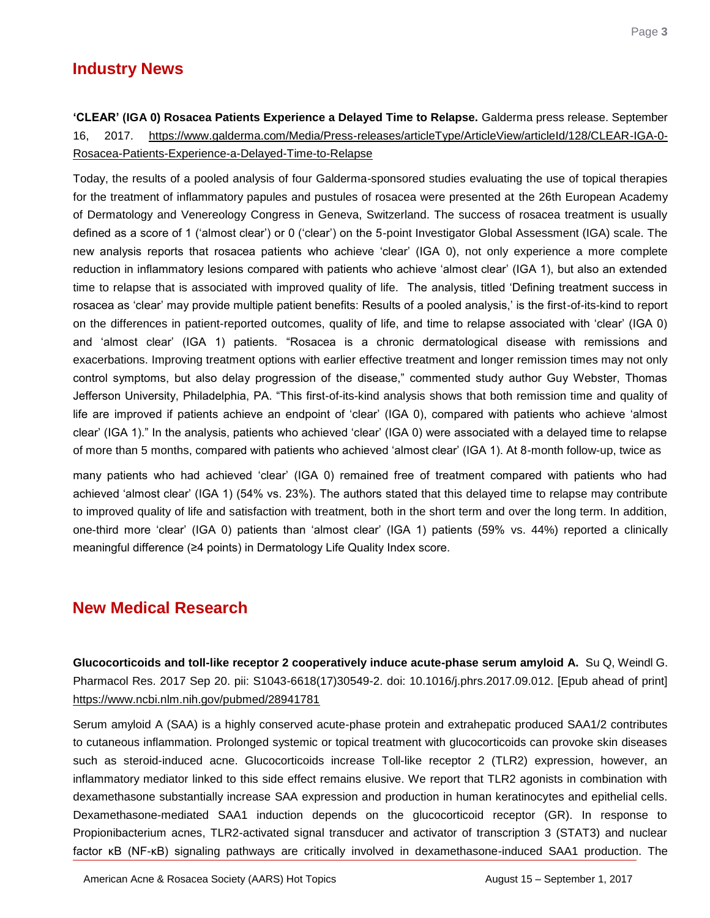# **Industry News**

<span id="page-2-0"></span>**'CLEAR' (IGA 0) Rosacea Patients Experience a Delayed Time to Relapse.** Galderma press release. September 16, 2017. [https://www.galderma.com/Media/Press-releases/articleType/ArticleView/articleId/128/CLEAR-IGA-0-](https://www.galderma.com/Media/Press-releases/articleType/ArticleView/articleId/128/CLEAR-IGA-0-Rosacea-Patients-Experience-a-Delayed-Time-to-Relapse) [Rosacea-Patients-Experience-a-Delayed-Time-to-Relapse](https://www.galderma.com/Media/Press-releases/articleType/ArticleView/articleId/128/CLEAR-IGA-0-Rosacea-Patients-Experience-a-Delayed-Time-to-Relapse)

Today, the results of a pooled analysis of four Galderma-sponsored studies evaluating the use of topical therapies for the treatment of inflammatory papules and pustules of rosacea were presented at the 26th European Academy of Dermatology and Venereology Congress in Geneva, Switzerland. The success of rosacea treatment is usually defined as a score of 1 ("almost clear") or 0 ("clear") on the 5-point Investigator Global Assessment (IGA) scale. The new analysis reports that rosacea patients who achieve "clear" (IGA 0), not only experience a more complete reduction in inflammatory lesions compared with patients who achieve "almost clear" (IGA 1), but also an extended time to relapse that is associated with improved quality of life. The analysis, titled "Defining treatment success in rosacea as 'clear' may provide multiple patient benefits: Results of a pooled analysis,' is the first-of-its-kind to report on the differences in patient-reported outcomes, quality of life, and time to relapse associated with "clear" (IGA 0) and "almost clear" (IGA 1) patients. "Rosacea is a chronic dermatological disease with remissions and exacerbations. Improving treatment options with earlier effective treatment and longer remission times may not only control symptoms, but also delay progression of the disease," commented study author Guy Webster, Thomas Jefferson University, Philadelphia, PA. "This first-of-its-kind analysis shows that both remission time and quality of life are improved if patients achieve an endpoint of "clear" (IGA 0), compared with patients who achieve "almost clear" (IGA 1)." In the analysis, patients who achieved "clear" (IGA 0) were associated with a delayed time to relapse of more than 5 months, compared with patients who achieved "almost clear" (IGA 1). At 8-month follow-up, twice as

many patients who had achieved "clear" (IGA 0) remained free of treatment compared with patients who had achieved "almost clear" (IGA 1) (54% vs. 23%). The authors stated that this delayed time to relapse may contribute to improved quality of life and satisfaction with treatment, both in the short term and over the long term. In addition, one-third more "clear" (IGA 0) patients than "almost clear" (IGA 1) patients (59% vs. 44%) reported a clinically meaningful difference (≥4 points) in Dermatology Life Quality Index score.

## **New Medical Research**

<span id="page-2-1"></span>**Glucocorticoids and toll-like receptor 2 cooperatively induce acute-phase serum amyloid A.** Su Q, Weindl G. Pharmacol Res. 2017 Sep 20. pii: S1043-6618(17)30549-2. doi: 10.1016/j.phrs.2017.09.012. [Epub ahead of print] <https://www.ncbi.nlm.nih.gov/pubmed/28941781>

Serum amyloid A (SAA) is a highly conserved acute-phase protein and extrahepatic produced SAA1/2 contributes to cutaneous inflammation. Prolonged systemic or topical treatment with glucocorticoids can provoke skin diseases such as steroid-induced acne. Glucocorticoids increase Toll-like receptor 2 (TLR2) expression, however, an inflammatory mediator linked to this side effect remains elusive. We report that TLR2 agonists in combination with dexamethasone substantially increase SAA expression and production in human keratinocytes and epithelial cells. Dexamethasone-mediated SAA1 induction depends on the glucocorticoid receptor (GR). In response to Propionibacterium acnes, TLR2-activated signal transducer and activator of transcription 3 (STAT3) and nuclear factor κB (NF-κB) signaling pathways are critically involved in dexamethasone-induced SAA1 production. The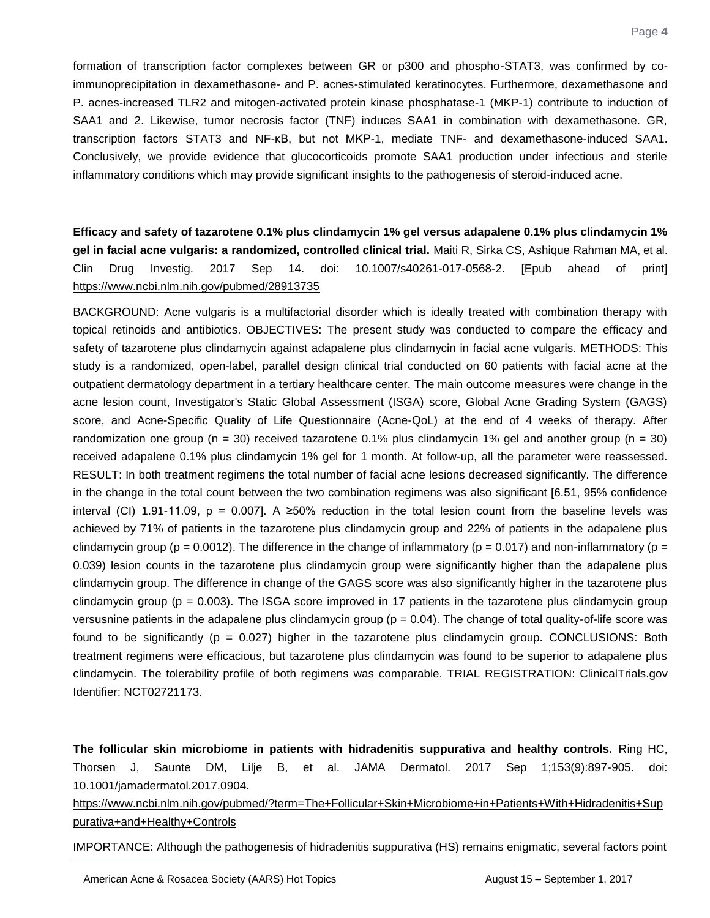formation of transcription factor complexes between GR or p300 and phospho-STAT3, was confirmed by coimmunoprecipitation in dexamethasone- and P. acnes-stimulated keratinocytes. Furthermore, dexamethasone and P. acnes-increased TLR2 and mitogen-activated protein kinase phosphatase-1 (MKP-1) contribute to induction of SAA1 and 2. Likewise, tumor necrosis factor (TNF) induces SAA1 in combination with dexamethasone. GR, transcription factors STAT3 and NF-κB, but not MKP-1, mediate TNF- and dexamethasone-induced SAA1. Conclusively, we provide evidence that glucocorticoids promote SAA1 production under infectious and sterile inflammatory conditions which may provide significant insights to the pathogenesis of steroid-induced acne.

<span id="page-3-0"></span>**Efficacy and safety of tazarotene 0.1% plus clindamycin 1% gel versus adapalene 0.1% plus clindamycin 1% gel in facial acne vulgaris: a randomized, controlled clinical trial.** Maiti R, Sirka CS, Ashique Rahman MA, et al. Clin Drug Investig. 2017 Sep 14. doi: 10.1007/s40261-017-0568-2. [Epub ahead of print] <https://www.ncbi.nlm.nih.gov/pubmed/28913735>

BACKGROUND: Acne vulgaris is a multifactorial disorder which is ideally treated with combination therapy with topical retinoids and antibiotics. OBJECTIVES: The present study was conducted to compare the efficacy and safety of tazarotene plus clindamycin against adapalene plus clindamycin in facial acne vulgaris. METHODS: This study is a randomized, open-label, parallel design clinical trial conducted on 60 patients with facial acne at the outpatient dermatology department in a tertiary healthcare center. The main outcome measures were change in the acne lesion count, Investigator's Static Global Assessment (ISGA) score, Global Acne Grading System (GAGS) score, and Acne-Specific Quality of Life Questionnaire (Acne-QoL) at the end of 4 weeks of therapy. After randomization one group ( $n = 30$ ) received tazarotene 0.1% plus clindamycin 1% gel and another group ( $n = 30$ ) received adapalene 0.1% plus clindamycin 1% gel for 1 month. At follow-up, all the parameter were reassessed. RESULT: In both treatment regimens the total number of facial acne lesions decreased significantly. The difference in the change in the total count between the two combination regimens was also significant [6.51, 95% confidence interval (CI) 1.91-11.09, p = 0.007]. A ≥50% reduction in the total lesion count from the baseline levels was achieved by 71% of patients in the tazarotene plus clindamycin group and 22% of patients in the adapalene plus clindamycin group ( $p = 0.0012$ ). The difference in the change of inflammatory ( $p = 0.017$ ) and non-inflammatory ( $p = 0.017$ ) 0.039) lesion counts in the tazarotene plus clindamycin group were significantly higher than the adapalene plus clindamycin group. The difference in change of the GAGS score was also significantly higher in the tazarotene plus clindamycin group ( $p = 0.003$ ). The ISGA score improved in 17 patients in the tazarotene plus clindamycin group versusnine patients in the adapalene plus clindamycin group ( $p = 0.04$ ). The change of total quality-of-life score was found to be significantly ( $p = 0.027$ ) higher in the tazarotene plus clindamycin group. CONCLUSIONS: Both treatment regimens were efficacious, but tazarotene plus clindamycin was found to be superior to adapalene plus clindamycin. The tolerability profile of both regimens was comparable. TRIAL REGISTRATION: ClinicalTrials.gov Identifier: NCT02721173.

<span id="page-3-1"></span>**The follicular skin microbiome in patients with hidradenitis suppurativa and healthy controls.** Ring HC, Thorsen J, Saunte DM, Lilje B, et al. JAMA Dermatol. 2017 Sep 1;153(9):897-905. doi: 10.1001/jamadermatol.2017.0904.

[https://www.ncbi.nlm.nih.gov/pubmed/?term=The+Follicular+Skin+Microbiome+in+Patients+With+Hidradenitis+Sup](https://www.ncbi.nlm.nih.gov/pubmed/?term=The+Follicular+Skin+Microbiome+in+Patients+With+Hidradenitis+Suppurativa+and+Healthy+Controls) [purativa+and+Healthy+Controls](https://www.ncbi.nlm.nih.gov/pubmed/?term=The+Follicular+Skin+Microbiome+in+Patients+With+Hidradenitis+Suppurativa+and+Healthy+Controls)

IMPORTANCE: Although the pathogenesis of hidradenitis suppurativa (HS) remains enigmatic, several factors point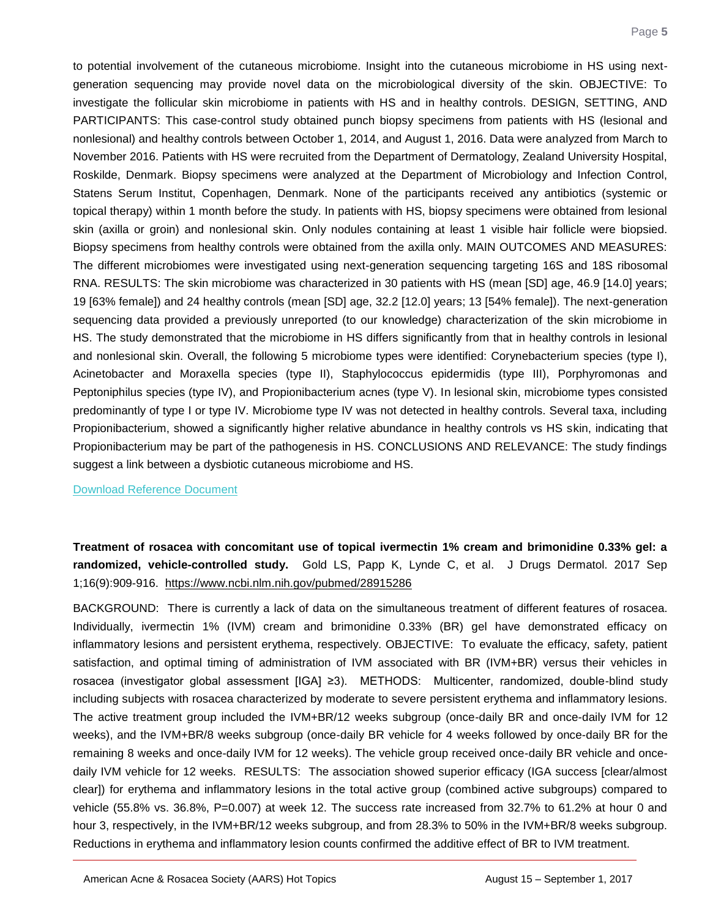to potential involvement of the cutaneous microbiome. Insight into the cutaneous microbiome in HS using nextgeneration sequencing may provide novel data on the microbiological diversity of the skin. OBJECTIVE: To investigate the follicular skin microbiome in patients with HS and in healthy controls. DESIGN, SETTING, AND PARTICIPANTS: This case-control study obtained punch biopsy specimens from patients with HS (lesional and nonlesional) and healthy controls between October 1, 2014, and August 1, 2016. Data were analyzed from March to November 2016. Patients with HS were recruited from the Department of Dermatology, Zealand University Hospital, Roskilde, Denmark. Biopsy specimens were analyzed at the Department of Microbiology and Infection Control, Statens Serum Institut, Copenhagen, Denmark. None of the participants received any antibiotics (systemic or topical therapy) within 1 month before the study. In patients with HS, biopsy specimens were obtained from lesional skin (axilla or groin) and nonlesional skin. Only nodules containing at least 1 visible hair follicle were biopsied. Biopsy specimens from healthy controls were obtained from the axilla only. MAIN OUTCOMES AND MEASURES: The different microbiomes were investigated using next-generation sequencing targeting 16S and 18S ribosomal RNA. RESULTS: The skin microbiome was characterized in 30 patients with HS (mean [SD] age, 46.9 [14.0] years; 19 [63% female]) and 24 healthy controls (mean [SD] age, 32.2 [12.0] years; 13 [54% female]). The next-generation sequencing data provided a previously unreported (to our knowledge) characterization of the skin microbiome in HS. The study demonstrated that the microbiome in HS differs significantly from that in healthy controls in lesional and nonlesional skin. Overall, the following 5 microbiome types were identified: Corynebacterium species (type I), Acinetobacter and Moraxella species (type II), Staphylococcus epidermidis (type III), Porphyromonas and Peptoniphilus species (type IV), and Propionibacterium acnes (type V). In lesional skin, microbiome types consisted predominantly of type I or type IV. Microbiome type IV was not detected in healthy controls. Several taxa, including Propionibacterium, showed a significantly higher relative abundance in healthy controls vs HS skin, indicating that Propionibacterium may be part of the pathogenesis in HS. CONCLUSIONS AND RELEVANCE: The study findings suggest a link between a dysbiotic cutaneous microbiome and HS.

#### [Download Reference Document](http://files.constantcontact.com/c2fa20d1101/30b289fa-a48c-4cb0-821c-178731e389d6.pdf?ver=1506707722000)

<span id="page-4-0"></span>**Treatment of rosacea with concomitant use of topical ivermectin 1% cream and brimonidine 0.33% gel: a randomized, vehicle-controlled study.** Gold LS, Papp K, Lynde C, et al. J Drugs Dermatol. 2017 Sep 1;16(9):909-916. <https://www.ncbi.nlm.nih.gov/pubmed/28915286>

BACKGROUND: There is currently a lack of data on the simultaneous treatment of different features of rosacea. Individually, ivermectin 1% (IVM) cream and brimonidine 0.33% (BR) gel have demonstrated efficacy on inflammatory lesions and persistent erythema, respectively. OBJECTIVE: To evaluate the efficacy, safety, patient satisfaction, and optimal timing of administration of IVM associated with BR (IVM+BR) versus their vehicles in rosacea (investigator global assessment [IGA] ≥3). METHODS: Multicenter, randomized, double-blind study including subjects with rosacea characterized by moderate to severe persistent erythema and inflammatory lesions. The active treatment group included the IVM+BR/12 weeks subgroup (once-daily BR and once-daily IVM for 12 weeks), and the IVM+BR/8 weeks subgroup (once-daily BR vehicle for 4 weeks followed by once-daily BR for the remaining 8 weeks and once-daily IVM for 12 weeks). The vehicle group received once-daily BR vehicle and oncedaily IVM vehicle for 12 weeks. RESULTS: The association showed superior efficacy (IGA success [clear/almost clear]) for erythema and inflammatory lesions in the total active group (combined active subgroups) compared to vehicle (55.8% vs. 36.8%, P=0.007) at week 12. The success rate increased from 32.7% to 61.2% at hour 0 and hour 3, respectively, in the IVM+BR/12 weeks subgroup, and from 28.3% to 50% in the IVM+BR/8 weeks subgroup. Reductions in erythema and inflammatory lesion counts confirmed the additive effect of BR to IVM treatment.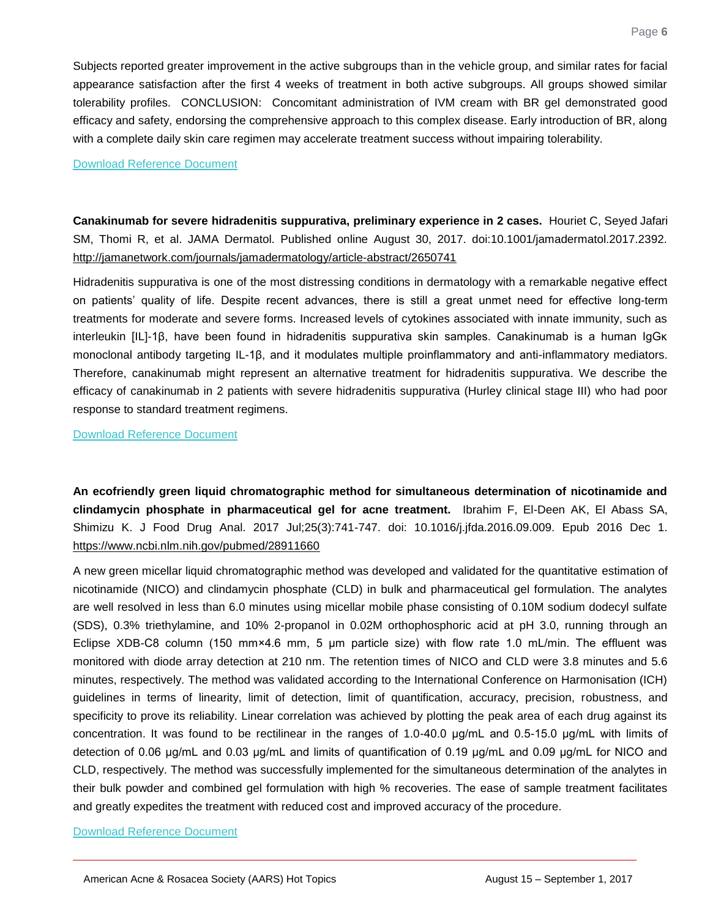Subjects reported greater improvement in the active subgroups than in the vehicle group, and similar rates for facial appearance satisfaction after the first 4 weeks of treatment in both active subgroups. All groups showed similar tolerability profiles. CONCLUSION: Concomitant administration of IVM cream with BR gel demonstrated good efficacy and safety, endorsing the comprehensive approach to this complex disease. Early introduction of BR, along with a complete daily skin care regimen may accelerate treatment success without impairing tolerability.

#### [Download Reference Document](http://files.constantcontact.com/c2fa20d1101/a6281a86-0ed2-4bb9-ae42-1bab6e357730.pdf?ver=1506707726000)

<span id="page-5-0"></span>**Canakinumab for severe hidradenitis suppurativa, preliminary experience in 2 cases.** Houriet C, Seyed Jafari SM, Thomi R, et al. JAMA Dermatol. Published online August 30, 2017. doi:10.1001/jamadermatol.2017.2392. <http://jamanetwork.com/journals/jamadermatology/article-abstract/2650741>

Hidradenitis suppurativa is one of the most distressing conditions in dermatology with a remarkable negative effect on patients" quality of life. Despite recent advances, there is still a great unmet need for effective long-term treatments for moderate and severe forms. Increased levels of cytokines associated with innate immunity, such as interleukin [IL]-1β, have been found in hidradenitis suppurativa skin samples. Canakinumab is a human IgGκ monoclonal antibody targeting IL-1β, and it modulates multiple proinflammatory and anti-inflammatory mediators. Therefore, canakinumab might represent an alternative treatment for hidradenitis suppurativa. We describe the efficacy of canakinumab in 2 patients with severe hidradenitis suppurativa (Hurley clinical stage III) who had poor response to standard treatment regimens.

[Download Reference Document](http://files.constantcontact.com/c2fa20d1101/f1ad4c92-1b81-4620-bd4a-6e4987a3eecf.pdf?ver=1506707727000)

<span id="page-5-1"></span>**An ecofriendly green liquid chromatographic method for simultaneous determination of nicotinamide and clindamycin phosphate in pharmaceutical gel for acne treatment.** Ibrahim F, El-Deen AK, El Abass SA, Shimizu K. J Food Drug Anal. 2017 Jul;25(3):741-747. doi: 10.1016/j.jfda.2016.09.009. Epub 2016 Dec 1. <https://www.ncbi.nlm.nih.gov/pubmed/28911660>

A new green micellar liquid chromatographic method was developed and validated for the quantitative estimation of nicotinamide (NICO) and clindamycin phosphate (CLD) in bulk and pharmaceutical gel formulation. The analytes are well resolved in less than 6.0 minutes using micellar mobile phase consisting of 0.10M sodium dodecyl sulfate (SDS), 0.3% triethylamine, and 10% 2-propanol in 0.02M orthophosphoric acid at pH 3.0, running through an Eclipse XDB-C8 column (150 mm×4.6 mm, 5 μm particle size) with flow rate 1.0 mL/min. The effluent was monitored with diode array detection at 210 nm. The retention times of NICO and CLD were 3.8 minutes and 5.6 minutes, respectively. The method was validated according to the International Conference on Harmonisation (ICH) guidelines in terms of linearity, limit of detection, limit of quantification, accuracy, precision, robustness, and specificity to prove its reliability. Linear correlation was achieved by plotting the peak area of each drug against its concentration. It was found to be rectilinear in the ranges of 1.0-40.0 μg/mL and 0.5-15.0 μg/mL with limits of detection of 0.06 μg/mL and 0.03 μg/mL and limits of quantification of 0.19 μg/mL and 0.09 μg/mL for NICO and CLD, respectively. The method was successfully implemented for the simultaneous determination of the analytes in their bulk powder and combined gel formulation with high % recoveries. The ease of sample treatment facilitates and greatly expedites the treatment with reduced cost and improved accuracy of the procedure.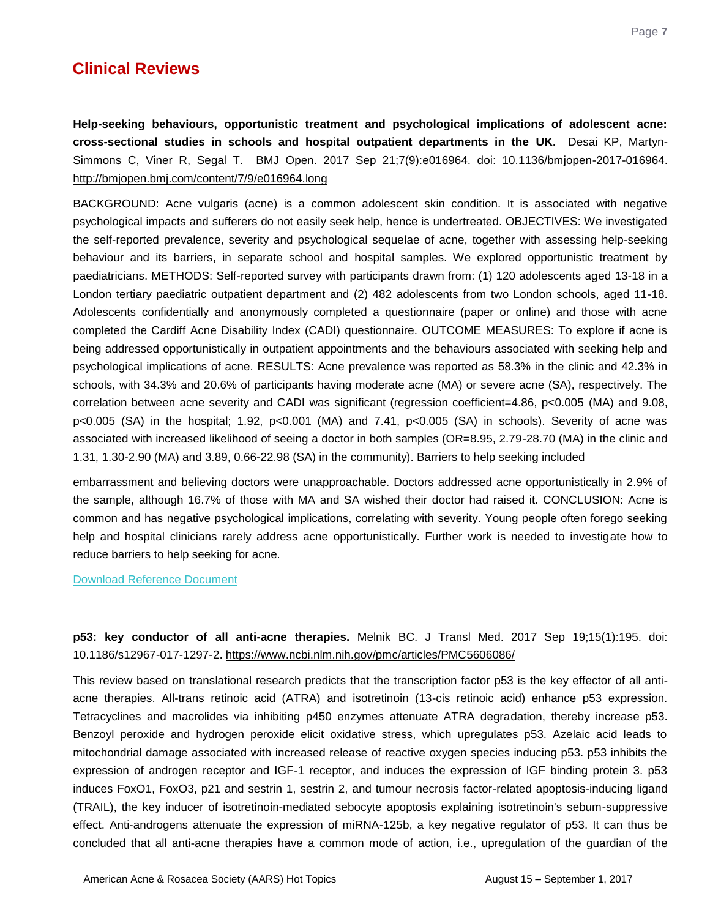# **Clinical Reviews**

<span id="page-6-0"></span>**Help-seeking behaviours, opportunistic treatment and psychological implications of adolescent acne: cross-sectional studies in schools and hospital outpatient departments in the UK.** Desai KP, Martyn-Simmons C, Viner R, Segal T. BMJ Open. 2017 Sep 21;7(9):e016964. doi: 10.1136/bmjopen-2017-016964. <http://bmjopen.bmj.com/content/7/9/e016964.long>

BACKGROUND: Acne vulgaris (acne) is a common adolescent skin condition. It is associated with negative psychological impacts and sufferers do not easily seek help, hence is undertreated. OBJECTIVES: We investigated the self-reported prevalence, severity and psychological sequelae of acne, together with assessing help-seeking behaviour and its barriers, in separate school and hospital samples. We explored opportunistic treatment by paediatricians. METHODS: Self-reported survey with participants drawn from: (1) 120 adolescents aged 13-18 in a London tertiary paediatric outpatient department and (2) 482 adolescents from two London schools, aged 11-18. Adolescents confidentially and anonymously completed a questionnaire (paper or online) and those with acne completed the Cardiff Acne Disability Index (CADI) questionnaire. OUTCOME MEASURES: To explore if acne is being addressed opportunistically in outpatient appointments and the behaviours associated with seeking help and psychological implications of acne. RESULTS: Acne prevalence was reported as 58.3% in the clinic and 42.3% in schools, with 34.3% and 20.6% of participants having moderate acne (MA) or severe acne (SA), respectively. The correlation between acne severity and CADI was significant (regression coefficient=4.86, p<0.005 (MA) and 9.08, p<0.005 (SA) in the hospital; 1.92, p<0.001 (MA) and 7.41, p<0.005 (SA) in schools). Severity of acne was associated with increased likelihood of seeing a doctor in both samples (OR=8.95, 2.79-28.70 (MA) in the clinic and 1.31, 1.30-2.90 (MA) and 3.89, 0.66-22.98 (SA) in the community). Barriers to help seeking included

embarrassment and believing doctors were unapproachable. Doctors addressed acne opportunistically in 2.9% of the sample, although 16.7% of those with MA and SA wished their doctor had raised it. CONCLUSION: Acne is common and has negative psychological implications, correlating with severity. Young people often forego seeking help and hospital clinicians rarely address acne opportunistically. Further work is needed to investigate how to reduce barriers to help seeking for acne.

[Download Reference Document](http://files.constantcontact.com/c2fa20d1101/e753cc56-98c0-4f07-821c-a805364678f5.pdf?ver=1506707722000)

## <span id="page-6-1"></span>**p53: key conductor of all anti-acne therapies.** Melnik BC. J Transl Med. 2017 Sep 19;15(1):195. doi: 10.1186/s12967-017-1297-2.<https://www.ncbi.nlm.nih.gov/pmc/articles/PMC5606086/>

This review based on translational research predicts that the transcription factor p53 is the key effector of all antiacne therapies. All-trans retinoic acid (ATRA) and isotretinoin (13-cis retinoic acid) enhance p53 expression. Tetracyclines and macrolides via inhibiting p450 enzymes attenuate ATRA degradation, thereby increase p53. Benzoyl peroxide and hydrogen peroxide elicit oxidative stress, which upregulates p53. Azelaic acid leads to mitochondrial damage associated with increased release of reactive oxygen species inducing p53. p53 inhibits the expression of androgen receptor and IGF-1 receptor, and induces the expression of IGF binding protein 3. p53 induces FoxO1, FoxO3, p21 and sestrin 1, sestrin 2, and tumour necrosis factor-related apoptosis-inducing ligand (TRAIL), the key inducer of isotretinoin-mediated sebocyte apoptosis explaining isotretinoin's sebum-suppressive effect. Anti-androgens attenuate the expression of miRNA-125b, a key negative regulator of p53. It can thus be concluded that all anti-acne therapies have a common mode of action, i.e., upregulation of the guardian of the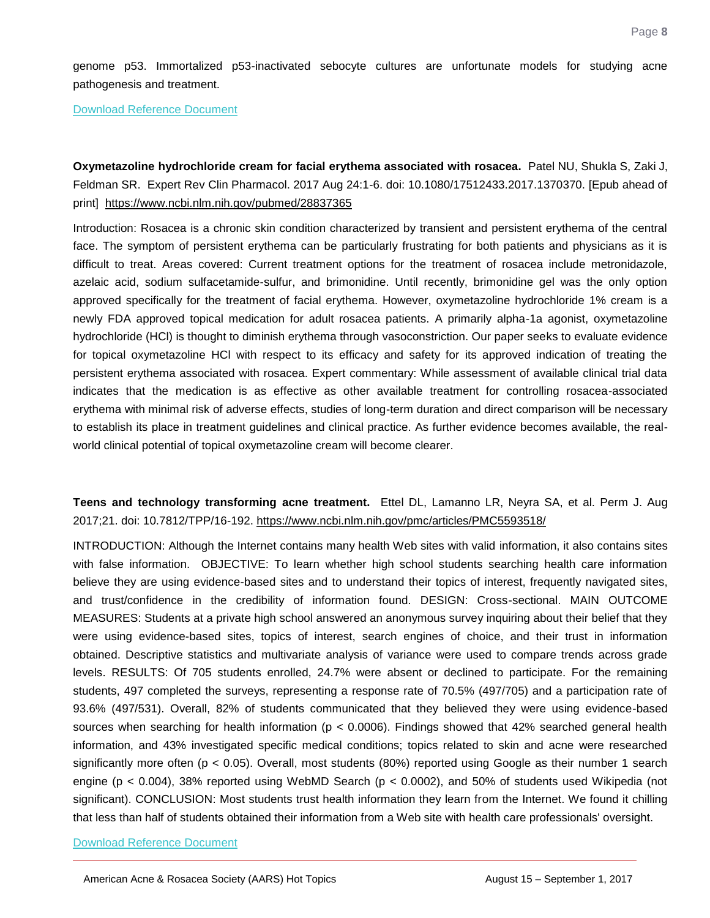genome p53. Immortalized p53-inactivated sebocyte cultures are unfortunate models for studying acne pathogenesis and treatment.

[Download Reference Document](http://files.constantcontact.com/c2fa20d1101/f60b6ddb-58d8-4fab-a492-4c7a28539fce.pdf?ver=1506707720000)

<span id="page-7-0"></span>**Oxymetazoline hydrochloride cream for facial erythema associated with rosacea.** Patel NU, Shukla S, Zaki J, Feldman SR. Expert Rev Clin Pharmacol. 2017 Aug 24:1-6. doi: 10.1080/17512433.2017.1370370. [Epub ahead of print] <https://www.ncbi.nlm.nih.gov/pubmed/28837365>

Introduction: Rosacea is a chronic skin condition characterized by transient and persistent erythema of the central face. The symptom of persistent erythema can be particularly frustrating for both patients and physicians as it is difficult to treat. Areas covered: Current treatment options for the treatment of rosacea include metronidazole, azelaic acid, sodium sulfacetamide-sulfur, and brimonidine. Until recently, brimonidine gel was the only option approved specifically for the treatment of facial erythema. However, oxymetazoline hydrochloride 1% cream is a newly FDA approved topical medication for adult rosacea patients. A primarily alpha-1a agonist, oxymetazoline hydrochloride (HCl) is thought to diminish erythema through vasoconstriction. Our paper seeks to evaluate evidence for topical oxymetazoline HCl with respect to its efficacy and safety for its approved indication of treating the persistent erythema associated with rosacea. Expert commentary: While assessment of available clinical trial data indicates that the medication is as effective as other available treatment for controlling rosacea-associated erythema with minimal risk of adverse effects, studies of long-term duration and direct comparison will be necessary to establish its place in treatment guidelines and clinical practice. As further evidence becomes available, the realworld clinical potential of topical oxymetazoline cream will become clearer.

### <span id="page-7-1"></span>**Teens and technology transforming acne treatment.** Ettel DL, Lamanno LR, Neyra SA, et al. Perm J. Aug 2017;21. doi: 10.7812/TPP/16-192.<https://www.ncbi.nlm.nih.gov/pmc/articles/PMC5593518/>

INTRODUCTION: Although the Internet contains many health Web sites with valid information, it also contains sites with false information. OBJECTIVE: To learn whether high school students searching health care information believe they are using evidence-based sites and to understand their topics of interest, frequently navigated sites, and trust/confidence in the credibility of information found. DESIGN: Cross-sectional. MAIN OUTCOME MEASURES: Students at a private high school answered an anonymous survey inquiring about their belief that they were using evidence-based sites, topics of interest, search engines of choice, and their trust in information obtained. Descriptive statistics and multivariate analysis of variance were used to compare trends across grade levels. RESULTS: Of 705 students enrolled, 24.7% were absent or declined to participate. For the remaining students, 497 completed the surveys, representing a response rate of 70.5% (497/705) and a participation rate of 93.6% (497/531). Overall, 82% of students communicated that they believed they were using evidence-based sources when searching for health information (p < 0.0006). Findings showed that 42% searched general health information, and 43% investigated specific medical conditions; topics related to skin and acne were researched significantly more often ( $p < 0.05$ ). Overall, most students (80%) reported using Google as their number 1 search engine (p < 0.004), 38% reported using WebMD Search (p < 0.0002), and 50% of students used Wikipedia (not significant). CONCLUSION: Most students trust health information they learn from the Internet. We found it chilling that less than half of students obtained their information from a Web site with health care professionals' oversight.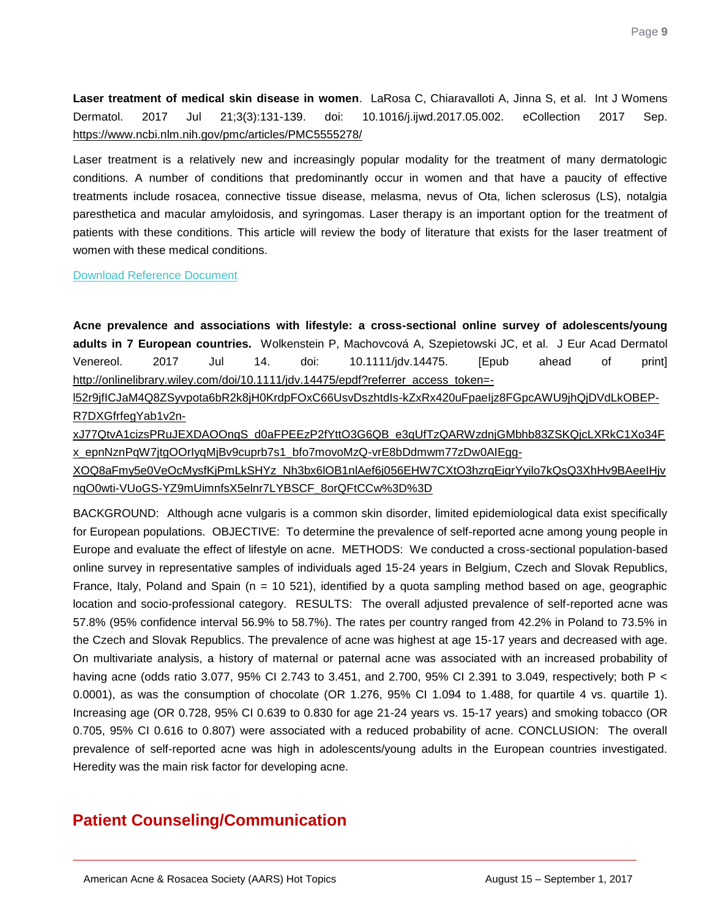Page **9**

<span id="page-8-0"></span>**Laser treatment of medical skin disease in women**. LaRosa C, Chiaravalloti A, Jinna S, et al. Int J Womens Dermatol. 2017 Jul 21;3(3):131-139. doi: 10.1016/j.ijwd.2017.05.002. eCollection 2017 Sep. <https://www.ncbi.nlm.nih.gov/pmc/articles/PMC5555278/>

Laser treatment is a relatively new and increasingly popular modality for the treatment of many dermatologic conditions. A number of conditions that predominantly occur in women and that have a paucity of effective treatments include rosacea, connective tissue disease, melasma, nevus of Ota, lichen sclerosus (LS), notalgia paresthetica and macular amyloidosis, and syringomas. Laser therapy is an important option for the treatment of patients with these conditions. This article will review the body of literature that exists for the laser treatment of women with these medical conditions.

[Download Reference Document](http://files.constantcontact.com/c2fa20d1101/d64c7f39-261b-4965-bc86-7454ca930981.pdf?ver=1506707718000)

<span id="page-8-1"></span>**Acne prevalence and associations with lifestyle: a cross-sectional online survey of adolescents/young adults in 7 European countries.** Wolkenstein P, Machovcová A, Szepietowski JC, et al. J Eur Acad Dermatol Venereol. 2017 Jul 14. doi: 10.1111/jdv.14475. [Epub ahead of print] [http://onlinelibrary.wiley.com/doi/10.1111/jdv.14475/epdf?referrer\\_access\\_token=-](http://onlinelibrary.wiley.com/doi/10.1111/jdv.14475/epdf?referrer_access_token=-l52r9jfICJaM4Q8ZSyvpota6bR2k8jH0KrdpFOxC66UsvDszhtdIs-kZxRx420uFpaeIjz8FGpcAWU9jhQjDVdLkOBEP-R7DXGfrfegYab1v2n-xJ77QtvA1cizsPRuJEXDAOOngS_d0aFPEEzP2fYttO3G6QB_e3qUfTzQARWzdnjGMbhb83ZSKQjcLXRkC1Xo34Fx_epnNznPqW7jtgOOrIyqMjBv9cuprb7s1_bfo7movoMzQ-vrE8bDdmwm77zDw0AIEgg-XOQ8aFmy5e0VeOcMysfKjPmLkSHYz_Nh3bx6lOB1nlAef6j056EHW7CXtO3hzrqEigrYyilo7kQsQ3XhHv9BAeeIHjvnqO0wti-VUoGS-YZ9mUimnfsX5elnr7LYBSCF_8orQFtCCw%3D%3D)

[l52r9jfICJaM4Q8ZSyvpota6bR2k8jH0KrdpFOxC66UsvDszhtdIs-kZxRx420uFpaeIjz8FGpcAWU9jhQjDVdLkOBEP-](http://onlinelibrary.wiley.com/doi/10.1111/jdv.14475/epdf?referrer_access_token=-l52r9jfICJaM4Q8ZSyvpota6bR2k8jH0KrdpFOxC66UsvDszhtdIs-kZxRx420uFpaeIjz8FGpcAWU9jhQjDVdLkOBEP-R7DXGfrfegYab1v2n-xJ77QtvA1cizsPRuJEXDAOOngS_d0aFPEEzP2fYttO3G6QB_e3qUfTzQARWzdnjGMbhb83ZSKQjcLXRkC1Xo34Fx_epnNznPqW7jtgOOrIyqMjBv9cuprb7s1_bfo7movoMzQ-vrE8bDdmwm77zDw0AIEgg-XOQ8aFmy5e0VeOcMysfKjPmLkSHYz_Nh3bx6lOB1nlAef6j056EHW7CXtO3hzrqEigrYyilo7kQsQ3XhHv9BAeeIHjvnqO0wti-VUoGS-YZ9mUimnfsX5elnr7LYBSCF_8orQFtCCw%3D%3D)[R7DXGfrfegYab1v2n-](http://onlinelibrary.wiley.com/doi/10.1111/jdv.14475/epdf?referrer_access_token=-l52r9jfICJaM4Q8ZSyvpota6bR2k8jH0KrdpFOxC66UsvDszhtdIs-kZxRx420uFpaeIjz8FGpcAWU9jhQjDVdLkOBEP-R7DXGfrfegYab1v2n-xJ77QtvA1cizsPRuJEXDAOOngS_d0aFPEEzP2fYttO3G6QB_e3qUfTzQARWzdnjGMbhb83ZSKQjcLXRkC1Xo34Fx_epnNznPqW7jtgOOrIyqMjBv9cuprb7s1_bfo7movoMzQ-vrE8bDdmwm77zDw0AIEgg-XOQ8aFmy5e0VeOcMysfKjPmLkSHYz_Nh3bx6lOB1nlAef6j056EHW7CXtO3hzrqEigrYyilo7kQsQ3XhHv9BAeeIHjvnqO0wti-VUoGS-YZ9mUimnfsX5elnr7LYBSCF_8orQFtCCw%3D%3D)

[xJ77QtvA1cizsPRuJEXDAOOngS\\_d0aFPEEzP2fYttO3G6QB\\_e3qUfTzQARWzdnjGMbhb83ZSKQjcLXRkC1Xo34F](http://onlinelibrary.wiley.com/doi/10.1111/jdv.14475/epdf?referrer_access_token=-l52r9jfICJaM4Q8ZSyvpota6bR2k8jH0KrdpFOxC66UsvDszhtdIs-kZxRx420uFpaeIjz8FGpcAWU9jhQjDVdLkOBEP-R7DXGfrfegYab1v2n-xJ77QtvA1cizsPRuJEXDAOOngS_d0aFPEEzP2fYttO3G6QB_e3qUfTzQARWzdnjGMbhb83ZSKQjcLXRkC1Xo34Fx_epnNznPqW7jtgOOrIyqMjBv9cuprb7s1_bfo7movoMzQ-vrE8bDdmwm77zDw0AIEgg-XOQ8aFmy5e0VeOcMysfKjPmLkSHYz_Nh3bx6lOB1nlAef6j056EHW7CXtO3hzrqEigrYyilo7kQsQ3XhHv9BAeeIHjvnqO0wti-VUoGS-YZ9mUimnfsX5elnr7LYBSCF_8orQFtCCw%3D%3D) [x\\_epnNznPqW7jtgOOrIyqMjBv9cuprb7s1\\_bfo7movoMzQ-vrE8bDdmwm77zDw0AIEgg-](http://onlinelibrary.wiley.com/doi/10.1111/jdv.14475/epdf?referrer_access_token=-l52r9jfICJaM4Q8ZSyvpota6bR2k8jH0KrdpFOxC66UsvDszhtdIs-kZxRx420uFpaeIjz8FGpcAWU9jhQjDVdLkOBEP-R7DXGfrfegYab1v2n-xJ77QtvA1cizsPRuJEXDAOOngS_d0aFPEEzP2fYttO3G6QB_e3qUfTzQARWzdnjGMbhb83ZSKQjcLXRkC1Xo34Fx_epnNznPqW7jtgOOrIyqMjBv9cuprb7s1_bfo7movoMzQ-vrE8bDdmwm77zDw0AIEgg-XOQ8aFmy5e0VeOcMysfKjPmLkSHYz_Nh3bx6lOB1nlAef6j056EHW7CXtO3hzrqEigrYyilo7kQsQ3XhHv9BAeeIHjvnqO0wti-VUoGS-YZ9mUimnfsX5elnr7LYBSCF_8orQFtCCw%3D%3D)

[XOQ8aFmy5e0VeOcMysfKjPmLkSHYz\\_Nh3bx6lOB1nlAef6j056EHW7CXtO3hzrqEigrYyilo7kQsQ3XhHv9BAeeIHjv](http://onlinelibrary.wiley.com/doi/10.1111/jdv.14475/epdf?referrer_access_token=-l52r9jfICJaM4Q8ZSyvpota6bR2k8jH0KrdpFOxC66UsvDszhtdIs-kZxRx420uFpaeIjz8FGpcAWU9jhQjDVdLkOBEP-R7DXGfrfegYab1v2n-xJ77QtvA1cizsPRuJEXDAOOngS_d0aFPEEzP2fYttO3G6QB_e3qUfTzQARWzdnjGMbhb83ZSKQjcLXRkC1Xo34Fx_epnNznPqW7jtgOOrIyqMjBv9cuprb7s1_bfo7movoMzQ-vrE8bDdmwm77zDw0AIEgg-XOQ8aFmy5e0VeOcMysfKjPmLkSHYz_Nh3bx6lOB1nlAef6j056EHW7CXtO3hzrqEigrYyilo7kQsQ3XhHv9BAeeIHjvnqO0wti-VUoGS-YZ9mUimnfsX5elnr7LYBSCF_8orQFtCCw%3D%3D) [nqO0wti-VUoGS-YZ9mUimnfsX5elnr7LYBSCF\\_8orQFtCCw%3D%3D](http://onlinelibrary.wiley.com/doi/10.1111/jdv.14475/epdf?referrer_access_token=-l52r9jfICJaM4Q8ZSyvpota6bR2k8jH0KrdpFOxC66UsvDszhtdIs-kZxRx420uFpaeIjz8FGpcAWU9jhQjDVdLkOBEP-R7DXGfrfegYab1v2n-xJ77QtvA1cizsPRuJEXDAOOngS_d0aFPEEzP2fYttO3G6QB_e3qUfTzQARWzdnjGMbhb83ZSKQjcLXRkC1Xo34Fx_epnNznPqW7jtgOOrIyqMjBv9cuprb7s1_bfo7movoMzQ-vrE8bDdmwm77zDw0AIEgg-XOQ8aFmy5e0VeOcMysfKjPmLkSHYz_Nh3bx6lOB1nlAef6j056EHW7CXtO3hzrqEigrYyilo7kQsQ3XhHv9BAeeIHjvnqO0wti-VUoGS-YZ9mUimnfsX5elnr7LYBSCF_8orQFtCCw%3D%3D)

BACKGROUND: Although acne vulgaris is a common skin disorder, limited epidemiological data exist specifically for European populations. OBJECTIVE: To determine the prevalence of self-reported acne among young people in Europe and evaluate the effect of lifestyle on acne. METHODS: We conducted a cross-sectional population-based online survey in representative samples of individuals aged 15-24 years in Belgium, Czech and Slovak Republics, France, Italy, Poland and Spain ( $n = 10521$ ), identified by a quota sampling method based on age, geographic location and socio-professional category. RESULTS: The overall adjusted prevalence of self-reported acne was 57.8% (95% confidence interval 56.9% to 58.7%). The rates per country ranged from 42.2% in Poland to 73.5% in the Czech and Slovak Republics. The prevalence of acne was highest at age 15-17 years and decreased with age. On multivariate analysis, a history of maternal or paternal acne was associated with an increased probability of having acne (odds ratio 3.077, 95% CI 2.743 to 3.451, and 2.700, 95% CI 2.391 to 3.049, respectively; both P < 0.0001), as was the consumption of chocolate (OR 1.276, 95% CI 1.094 to 1.488, for quartile 4 vs. quartile 1). Increasing age (OR 0.728, 95% CI 0.639 to 0.830 for age 21-24 years vs. 15-17 years) and smoking tobacco (OR 0.705, 95% CI 0.616 to 0.807) were associated with a reduced probability of acne. CONCLUSION: The overall prevalence of self-reported acne was high in adolescents/young adults in the European countries investigated. Heredity was the main risk factor for developing acne.

# **Patient Counseling/Communication**